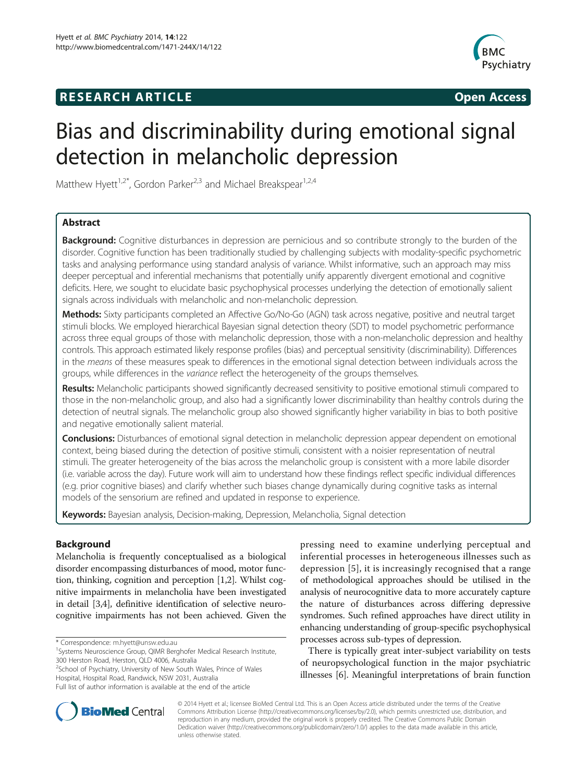# **RESEARCH ARTICLE Example 2014 COPEN ACCESS**



# Bias and discriminability during emotional signal detection in melancholic depression

Matthew Hyett<sup>1,2\*</sup>, Gordon Parker<sup>2,3</sup> and Michael Breakspear<sup>1,2,4</sup>

# Abstract

Background: Cognitive disturbances in depression are pernicious and so contribute strongly to the burden of the disorder. Cognitive function has been traditionally studied by challenging subjects with modality-specific psychometric tasks and analysing performance using standard analysis of variance. Whilst informative, such an approach may miss deeper perceptual and inferential mechanisms that potentially unify apparently divergent emotional and cognitive deficits. Here, we sought to elucidate basic psychophysical processes underlying the detection of emotionally salient signals across individuals with melancholic and non-melancholic depression.

Methods: Sixty participants completed an Affective Go/No-Go (AGN) task across negative, positive and neutral target stimuli blocks. We employed hierarchical Bayesian signal detection theory (SDT) to model psychometric performance across three equal groups of those with melancholic depression, those with a non-melancholic depression and healthy controls. This approach estimated likely response profiles (bias) and perceptual sensitivity (discriminability). Differences in the *means* of these measures speak to differences in the emotional signal detection between individuals across the groups, while differences in the variance reflect the heterogeneity of the groups themselves.

Results: Melancholic participants showed significantly decreased sensitivity to positive emotional stimuli compared to those in the non-melancholic group, and also had a significantly lower discriminability than healthy controls during the detection of neutral signals. The melancholic group also showed significantly higher variability in bias to both positive and negative emotionally salient material.

**Conclusions:** Disturbances of emotional signal detection in melancholic depression appear dependent on emotional context, being biased during the detection of positive stimuli, consistent with a noisier representation of neutral stimuli. The greater heterogeneity of the bias across the melancholic group is consistent with a more labile disorder (i.e. variable across the day). Future work will aim to understand how these findings reflect specific individual differences (e.g. prior cognitive biases) and clarify whether such biases change dynamically during cognitive tasks as internal models of the sensorium are refined and updated in response to experience.

Keywords: Bayesian analysis, Decision-making, Depression, Melancholia, Signal detection

# Background

Melancholia is frequently conceptualised as a biological disorder encompassing disturbances of mood, motor function, thinking, cognition and perception [\[1,2](#page-10-0)]. Whilst cognitive impairments in melancholia have been investigated in detail [\[3,4\]](#page-10-0), definitive identification of selective neurocognitive impairments has not been achieved. Given the

<sup>2</sup>School of Psychiatry, University of New South Wales, Prince of Wales Hospital, Hospital Road, Randwick, NSW 2031, Australia

pressing need to examine underlying perceptual and inferential processes in heterogeneous illnesses such as depression [\[5](#page-10-0)], it is increasingly recognised that a range of methodological approaches should be utilised in the analysis of neurocognitive data to more accurately capture the nature of disturbances across differing depressive syndromes. Such refined approaches have direct utility in enhancing understanding of group-specific psychophysical processes across sub-types of depression.

There is typically great inter-subject variability on tests of neuropsychological function in the major psychiatric illnesses [[6\]](#page-10-0). Meaningful interpretations of brain function



© 2014 Hyett et al.; licensee BioMed Central Ltd. This is an Open Access article distributed under the terms of the Creative Commons Attribution License [\(http://creativecommons.org/licenses/by/2.0\)](http://creativecommons.org/licenses/by/2.0), which permits unrestricted use, distribution, and reproduction in any medium, provided the original work is properly credited. The Creative Commons Public Domain Dedication waiver [\(http://creativecommons.org/publicdomain/zero/1.0/](http://creativecommons.org/publicdomain/zero/1.0/)) applies to the data made available in this article, unless otherwise stated.

<sup>\*</sup> Correspondence: [m.hyett@unsw.edu.au](mailto:m.hyett@unsw.edu.au) <sup>1</sup>

<sup>&</sup>lt;sup>1</sup> Systems Neuroscience Group, QIMR Berghofer Medical Research Institute, 300 Herston Road, Herston, QLD 4006, Australia

Full list of author information is available at the end of the article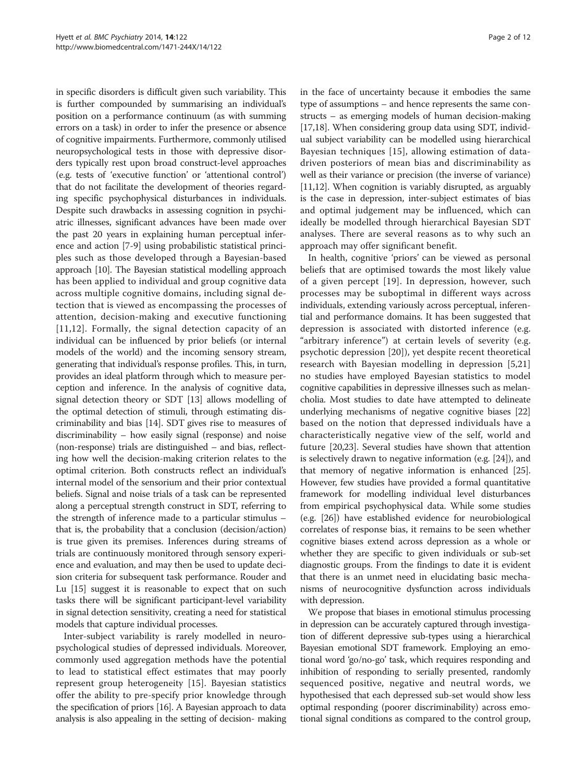in specific disorders is difficult given such variability. This is further compounded by summarising an individual's position on a performance continuum (as with summing errors on a task) in order to infer the presence or absence of cognitive impairments. Furthermore, commonly utilised neuropsychological tests in those with depressive disorders typically rest upon broad construct-level approaches (e.g. tests of 'executive function' or 'attentional control') that do not facilitate the development of theories regarding specific psychophysical disturbances in individuals. Despite such drawbacks in assessing cognition in psychiatric illnesses, significant advances have been made over the past 20 years in explaining human perceptual inference and action [\[7-9](#page-10-0)] using probabilistic statistical principles such as those developed through a Bayesian-based approach [\[10\]](#page-10-0). The Bayesian statistical modelling approach has been applied to individual and group cognitive data across multiple cognitive domains, including signal detection that is viewed as encompassing the processes of attention, decision-making and executive functioning [[11](#page-10-0),[12\]](#page-10-0). Formally, the signal detection capacity of an individual can be influenced by prior beliefs (or internal models of the world) and the incoming sensory stream, generating that individual's response profiles. This, in turn, provides an ideal platform through which to measure perception and inference. In the analysis of cognitive data, signal detection theory or SDT [\[13\]](#page-10-0) allows modelling of the optimal detection of stimuli, through estimating discriminability and bias [[14](#page-10-0)]. SDT gives rise to measures of discriminability – how easily signal (response) and noise (non-response) trials are distinguished – and bias, reflecting how well the decision-making criterion relates to the optimal criterion. Both constructs reflect an individual's internal model of the sensorium and their prior contextual beliefs. Signal and noise trials of a task can be represented along a perceptual strength construct in SDT, referring to the strength of inference made to a particular stimulus – that is, the probability that a conclusion (decision/action) is true given its premises. Inferences during streams of trials are continuously monitored through sensory experience and evaluation, and may then be used to update decision criteria for subsequent task performance. Rouder and Lu [\[15\]](#page-10-0) suggest it is reasonable to expect that on such tasks there will be significant participant-level variability in signal detection sensitivity, creating a need for statistical models that capture individual processes.

Inter-subject variability is rarely modelled in neuropsychological studies of depressed individuals. Moreover, commonly used aggregation methods have the potential to lead to statistical effect estimates that may poorly represent group heterogeneity [[15\]](#page-10-0). Bayesian statistics offer the ability to pre-specify prior knowledge through the specification of priors [[16\]](#page-11-0). A Bayesian approach to data analysis is also appealing in the setting of decision- making in the face of uncertainty because it embodies the same type of assumptions – and hence represents the same constructs – as emerging models of human decision-making [[17](#page-11-0),[18](#page-11-0)]. When considering group data using SDT, individual subject variability can be modelled using hierarchical Bayesian techniques [[15](#page-10-0)], allowing estimation of datadriven posteriors of mean bias and discriminability as well as their variance or precision (the inverse of variance) [[11](#page-10-0),[12](#page-10-0)]. When cognition is variably disrupted, as arguably is the case in depression, inter-subject estimates of bias and optimal judgement may be influenced, which can ideally be modelled through hierarchical Bayesian SDT analyses. There are several reasons as to why such an approach may offer significant benefit.

In health, cognitive 'priors' can be viewed as personal beliefs that are optimised towards the most likely value of a given percept [[19](#page-11-0)]. In depression, however, such processes may be suboptimal in different ways across individuals, extending variously across perceptual, inferential and performance domains. It has been suggested that depression is associated with distorted inference (e.g. "arbitrary inference") at certain levels of severity (e.g. psychotic depression [[20](#page-11-0)]), yet despite recent theoretical research with Bayesian modelling in depression [\[5](#page-10-0)[,21](#page-11-0)] no studies have employed Bayesian statistics to model cognitive capabilities in depressive illnesses such as melancholia. Most studies to date have attempted to delineate underlying mechanisms of negative cognitive biases [[22](#page-11-0)] based on the notion that depressed individuals have a characteristically negative view of the self, world and future [\[20,23\]](#page-11-0). Several studies have shown that attention is selectively drawn to negative information (e.g. [\[24\]](#page-11-0)), and that memory of negative information is enhanced [[25](#page-11-0)]. However, few studies have provided a formal quantitative framework for modelling individual level disturbances from empirical psychophysical data. While some studies (e.g. [[26](#page-11-0)]) have established evidence for neurobiological correlates of response bias, it remains to be seen whether cognitive biases extend across depression as a whole or whether they are specific to given individuals or sub-set diagnostic groups. From the findings to date it is evident that there is an unmet need in elucidating basic mechanisms of neurocognitive dysfunction across individuals with depression.

We propose that biases in emotional stimulus processing in depression can be accurately captured through investigation of different depressive sub-types using a hierarchical Bayesian emotional SDT framework. Employing an emotional word 'go/no-go' task, which requires responding and inhibition of responding to serially presented, randomly sequenced positive, negative and neutral words, we hypothesised that each depressed sub-set would show less optimal responding (poorer discriminability) across emotional signal conditions as compared to the control group,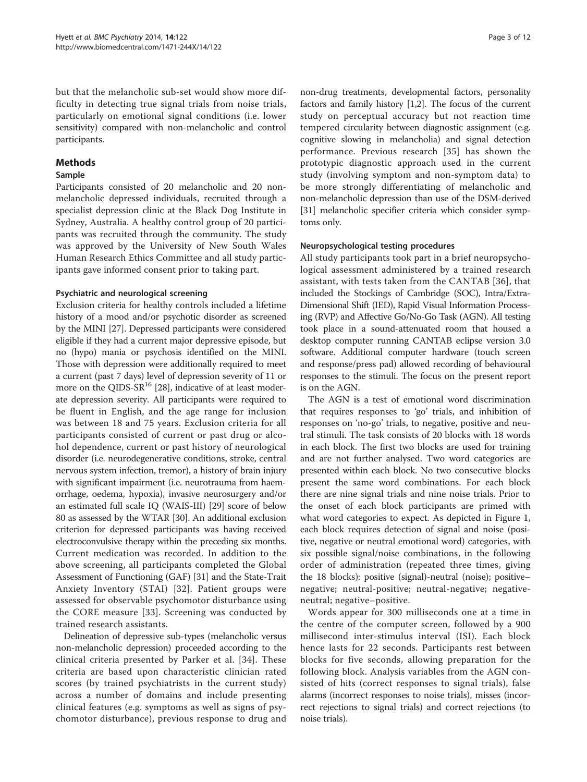but that the melancholic sub-set would show more difficulty in detecting true signal trials from noise trials, particularly on emotional signal conditions (i.e. lower sensitivity) compared with non-melancholic and control participants.

# Methods

# Sample

Participants consisted of 20 melancholic and 20 nonmelancholic depressed individuals, recruited through a specialist depression clinic at the Black Dog Institute in Sydney, Australia. A healthy control group of 20 participants was recruited through the community. The study was approved by the University of New South Wales Human Research Ethics Committee and all study participants gave informed consent prior to taking part.

# Psychiatric and neurological screening

Exclusion criteria for healthy controls included a lifetime history of a mood and/or psychotic disorder as screened by the MINI [\[27\]](#page-11-0). Depressed participants were considered eligible if they had a current major depressive episode, but no (hypo) mania or psychosis identified on the MINI. Those with depression were additionally required to meet a current (past 7 days) level of depression severity of 11 or more on the QIDS-SR<sup>16</sup> [\[28\]](#page-11-0), indicative of at least moderate depression severity. All participants were required to be fluent in English, and the age range for inclusion was between 18 and 75 years. Exclusion criteria for all participants consisted of current or past drug or alcohol dependence, current or past history of neurological disorder (i.e. neurodegenerative conditions, stroke, central nervous system infection, tremor), a history of brain injury with significant impairment (i.e. neurotrauma from haemorrhage, oedema, hypoxia), invasive neurosurgery and/or an estimated full scale IQ (WAIS-III) [\[29\]](#page-11-0) score of below 80 as assessed by the WTAR [[30](#page-11-0)]. An additional exclusion criterion for depressed participants was having received electroconvulsive therapy within the preceding six months. Current medication was recorded. In addition to the above screening, all participants completed the Global Assessment of Functioning (GAF) [\[31\]](#page-11-0) and the State-Trait Anxiety Inventory (STAI) [\[32\]](#page-11-0). Patient groups were assessed for observable psychomotor disturbance using the CORE measure [\[33\]](#page-11-0). Screening was conducted by trained research assistants.

Delineation of depressive sub-types (melancholic versus non-melancholic depression) proceeded according to the clinical criteria presented by Parker et al. [[34\]](#page-11-0). These criteria are based upon characteristic clinician rated scores (by trained psychiatrists in the current study) across a number of domains and include presenting clinical features (e.g. symptoms as well as signs of psychomotor disturbance), previous response to drug and

non-drug treatments, developmental factors, personality factors and family history [\[1,2\]](#page-10-0). The focus of the current study on perceptual accuracy but not reaction time tempered circularity between diagnostic assignment (e.g. cognitive slowing in melancholia) and signal detection performance. Previous research [\[35](#page-11-0)] has shown the prototypic diagnostic approach used in the current study (involving symptom and non-symptom data) to be more strongly differentiating of melancholic and non-melancholic depression than use of the DSM-derived [[31](#page-11-0)] melancholic specifier criteria which consider symptoms only.

# Neuropsychological testing procedures

All study participants took part in a brief neuropsychological assessment administered by a trained research assistant, with tests taken from the CANTAB [\[36](#page-11-0)], that included the Stockings of Cambridge (SOC), Intra/Extra-Dimensional Shift (IED), Rapid Visual Information Processing (RVP) and Affective Go/No-Go Task (AGN). All testing took place in a sound-attenuated room that housed a desktop computer running CANTAB eclipse version 3.0 software. Additional computer hardware (touch screen and response/press pad) allowed recording of behavioural responses to the stimuli. The focus on the present report is on the AGN.

The AGN is a test of emotional word discrimination that requires responses to 'go' trials, and inhibition of responses on 'no-go' trials, to negative, positive and neutral stimuli. The task consists of 20 blocks with 18 words in each block. The first two blocks are used for training and are not further analysed. Two word categories are presented within each block. No two consecutive blocks present the same word combinations. For each block there are nine signal trials and nine noise trials. Prior to the onset of each block participants are primed with what word categories to expect. As depicted in Figure [1](#page-3-0), each block requires detection of signal and noise (positive, negative or neutral emotional word) categories, with six possible signal/noise combinations, in the following order of administration (repeated three times, giving the 18 blocks): positive (signal)-neutral (noise); positive– negative; neutral-positive; neutral-negative; negativeneutral; negative–positive.

Words appear for 300 milliseconds one at a time in the centre of the computer screen, followed by a 900 millisecond inter-stimulus interval (ISI). Each block hence lasts for 22 seconds. Participants rest between blocks for five seconds, allowing preparation for the following block. Analysis variables from the AGN consisted of hits (correct responses to signal trials), false alarms (incorrect responses to noise trials), misses (incorrect rejections to signal trials) and correct rejections (to noise trials).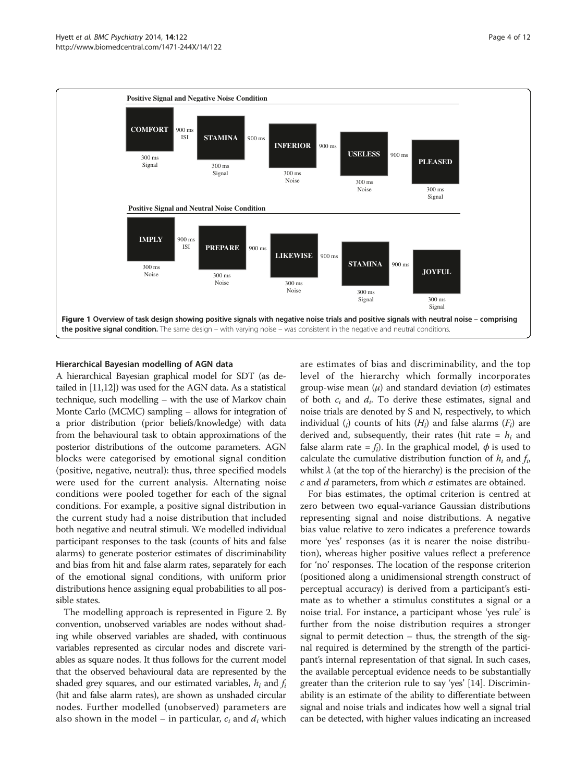<span id="page-3-0"></span>

# Hierarchical Bayesian modelling of AGN data

A hierarchical Bayesian graphical model for SDT (as detailed in [[11,12\]](#page-10-0)) was used for the AGN data. As a statistical technique, such modelling – with the use of Markov chain Monte Carlo (MCMC) sampling – allows for integration of a prior distribution (prior beliefs/knowledge) with data from the behavioural task to obtain approximations of the posterior distributions of the outcome parameters. AGN blocks were categorised by emotional signal condition (positive, negative, neutral): thus, three specified models were used for the current analysis. Alternating noise conditions were pooled together for each of the signal conditions. For example, a positive signal distribution in the current study had a noise distribution that included both negative and neutral stimuli. We modelled individual participant responses to the task (counts of hits and false alarms) to generate posterior estimates of discriminability and bias from hit and false alarm rates, separately for each of the emotional signal conditions, with uniform prior distributions hence assigning equal probabilities to all possible states.

The modelling approach is represented in Figure [2.](#page-4-0) By convention, unobserved variables are nodes without shading while observed variables are shaded, with continuous variables represented as circular nodes and discrete variables as square nodes. It thus follows for the current model that the observed behavioural data are represented by the shaded grey squares, and our estimated variables,  $h_i$  and  $f_i$ (hit and false alarm rates), are shown as unshaded circular nodes. Further modelled (unobserved) parameters are also shown in the model – in particular,  $c_i$  and  $d_i$  which

are estimates of bias and discriminability, and the top level of the hierarchy which formally incorporates group-wise mean  $(\mu)$  and standard deviation  $(\sigma)$  estimates of both  $c_i$  and  $d_i$ . To derive these estimates, signal and noise trials are denoted by S and N, respectively, to which individual (*i*) counts of hits  $(H<sub>i</sub>)$  and false alarms  $(F<sub>i</sub>)$  are derived and, subsequently, their rates (hit rate =  $h_i$  and false alarm rate =  $f_i$ ). In the graphical model,  $\phi$  is used to calculate the cumulative distribution function of  $h_i$  and  $f_i$ , whilst  $\lambda$  (at the top of the hierarchy) is the precision of the c and d parameters, from which  $\sigma$  estimates are obtained.

For bias estimates, the optimal criterion is centred at zero between two equal-variance Gaussian distributions representing signal and noise distributions. A negative bias value relative to zero indicates a preference towards more 'yes' responses (as it is nearer the noise distribution), whereas higher positive values reflect a preference for 'no' responses. The location of the response criterion (positioned along a unidimensional strength construct of perceptual accuracy) is derived from a participant's estimate as to whether a stimulus constitutes a signal or a noise trial. For instance, a participant whose 'yes rule' is further from the noise distribution requires a stronger signal to permit detection – thus, the strength of the signal required is determined by the strength of the participant's internal representation of that signal. In such cases, the available perceptual evidence needs to be substantially greater than the criterion rule to say 'yes' [[14](#page-10-0)]. Discriminability is an estimate of the ability to differentiate between signal and noise trials and indicates how well a signal trial can be detected, with higher values indicating an increased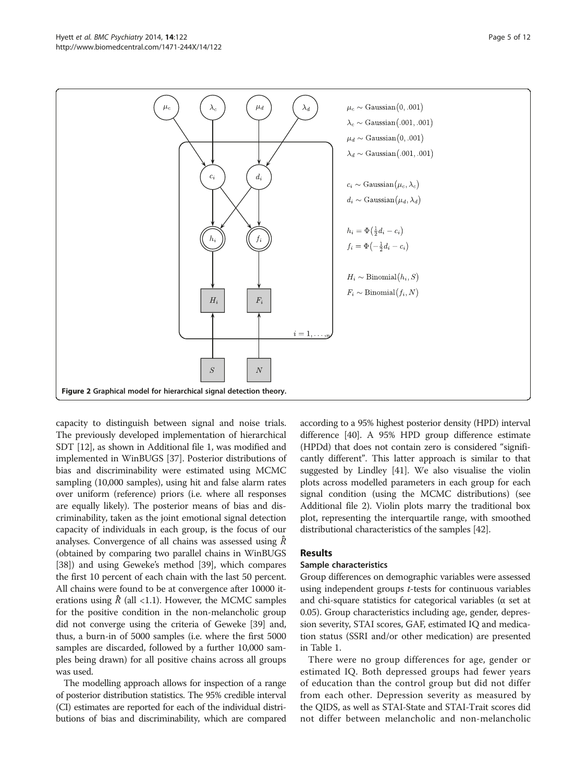<span id="page-4-0"></span>

capacity to distinguish between signal and noise trials. The previously developed implementation of hierarchical SDT [\[12\]](#page-10-0), as shown in Additional file [1,](#page-10-0) was modified and implemented in WinBUGS [\[37\]](#page-11-0). Posterior distributions of bias and discriminability were estimated using MCMC sampling (10,000 samples), using hit and false alarm rates over uniform (reference) priors (i.e. where all responses are equally likely). The posterior means of bias and discriminability, taken as the joint emotional signal detection capacity of individuals in each group, is the focus of our analyses. Convergence of all chains was assessed using  $\tilde{R}$ (obtained by comparing two parallel chains in WinBUGS [[38](#page-11-0)]) and using Geweke's method [\[39](#page-11-0)], which compares the first 10 percent of each chain with the last 50 percent. All chains were found to be at convergence after 10000 iterations using  $R$  (all <1.1). However, the MCMC samples for the positive condition in the non-melancholic group did not converge using the criteria of Geweke [[39](#page-11-0)] and, thus, a burn-in of 5000 samples (i.e. where the first 5000 samples are discarded, followed by a further 10,000 samples being drawn) for all positive chains across all groups was used.

The modelling approach allows for inspection of a range of posterior distribution statistics. The 95% credible interval (CI) estimates are reported for each of the individual distributions of bias and discriminability, which are compared according to a 95% highest posterior density (HPD) interval difference [\[40](#page-11-0)]. A 95% HPD group difference estimate (HPDd) that does not contain zero is considered "significantly different". This latter approach is similar to that suggested by Lindley [[41](#page-11-0)]. We also visualise the violin plots across modelled parameters in each group for each signal condition (using the MCMC distributions) (see Additional file [2](#page-10-0)). Violin plots marry the traditional box plot, representing the interquartile range, with smoothed distributional characteristics of the samples [\[42\]](#page-11-0).

# Results

# Sample characteristics

Group differences on demographic variables were assessed using independent groups *t*-tests for continuous variables and chi-square statistics for categorical variables ( $\alpha$  set at 0.05). Group characteristics including age, gender, depression severity, STAI scores, GAF, estimated IQ and medication status (SSRI and/or other medication) are presented in Table [1](#page-5-0).

There were no group differences for age, gender or estimated IQ. Both depressed groups had fewer years of education than the control group but did not differ from each other. Depression severity as measured by the QIDS, as well as STAI-State and STAI-Trait scores did not differ between melancholic and non-melancholic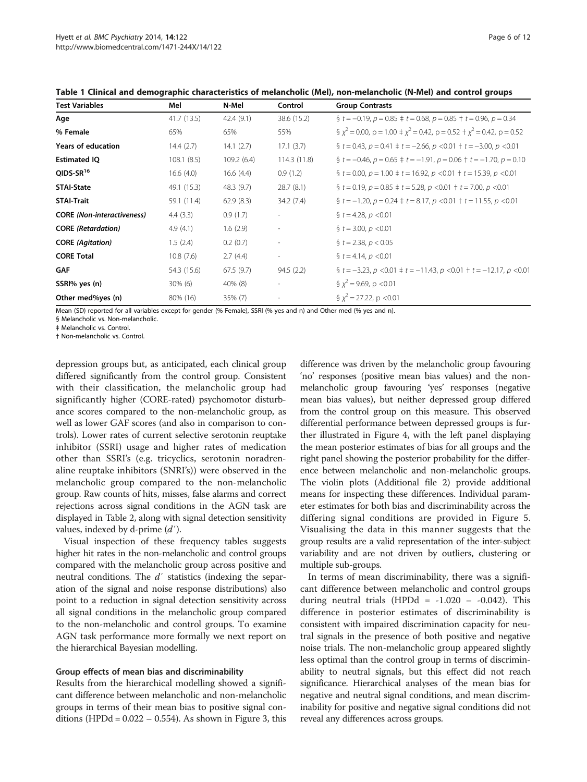| <b>Test Variables</b>             | Mel         | N-Mel      | Control                  | <b>Group Contrasts</b>                                                                                |  |  |
|-----------------------------------|-------------|------------|--------------------------|-------------------------------------------------------------------------------------------------------|--|--|
| Age                               | 41.7 (13.5) | 42.4(9.1)  | 38.6 (15.2)              | $\frac{1}{2}$ t = -0.19, p = 0.85 $\pm$ t = 0.68, p = 0.85 $\pm$ t = 0.96, p = 0.34                   |  |  |
| % Female                          | 65%         | 65%        | 55%                      | $\frac{1}{2}$ s $\chi^2$ = 0.00, p = 1.00 $\pm \chi^2$ = 0.42, p = 0.52 $\pm \chi^2$ = 0.42, p = 0.52 |  |  |
| <b>Years of education</b>         | 14.4(2.7)   | 14.1(2.7)  | 17.1(3.7)                | $\frac{1}{2}$ t = 0.43, p = 0.41 $\pm t$ = -2.66, p < 0.01 $\pm t$ = -3.00, p < 0.01                  |  |  |
| <b>Estimated IQ</b>               | 108.1(8.5)  | 109.2(6.4) | 114.3 (11.8)             | $\frac{1}{2}$ t = -0.46, p = 0.65 $\pm$ t = -1.91, p = 0.06 $\pm$ t = -1.70, p = 0.10                 |  |  |
| QIDS-SR $^{16}$                   | 16.6(4.0)   | 16.6(4.4)  | 0.9(1.2)                 | $\frac{1}{2}$ t = 0.00, p = 1.00 $\pm$ t = 16.92, p < 0.01 $\pm$ t = 15.39, p < 0.01                  |  |  |
| <b>STAI-State</b>                 | 49.1 (15.3) | 48.3(9.7)  | 28.7(8.1)                | $\frac{1}{2}$ t = 0.19, p = 0.85 $\pm$ t = 5.28, p < 0.01 $\pm$ t = 7.00, p < 0.01                    |  |  |
| <b>STAI-Trait</b>                 | 59.1 (11.4) | 62.9(8.3)  | 34.2(7.4)                | $\frac{1}{2}$ t = -1.20, p = 0.24 $\pm$ t = 8.17, p < 0.01 $\pm$ t = 11.55, p < 0.01                  |  |  |
| <b>CORE</b> (Non-interactiveness) | 4.4(3.3)    | 0.9(1.7)   |                          | § $t = 4.28$ , $p < 0.01$                                                                             |  |  |
| <b>CORE</b> (Retardation)         | 4.9(4.1)    | 1.6(2.9)   | $\overline{\phantom{a}}$ | $\frac{5}{2}$ t = 3.00, p < 0.01                                                                      |  |  |
| <b>CORE</b> (Agitation)           | 1.5(2.4)    | 0.2(0.7)   |                          | $\frac{5}{2}$ t = 2.38, p < 0.05                                                                      |  |  |
| <b>CORE Total</b>                 | 10.8(7.6)   | 2.7(4.4)   | $\overline{\phantom{a}}$ | $\frac{5}{2}$ t = 4.14, p < 0.01                                                                      |  |  |
| <b>GAF</b>                        | 54.3 (15.6) | 67.5(9.7)  | 94.5(2.2)                | $\frac{1}{2}$ t = -3.23, p < 0.01 $\pm t$ = -11.43, p < 0.01 $\pm t$ = -12.17, p < 0.01               |  |  |
| SSRI% yes (n)                     | $30\%$ (6)  | 40% (8)    |                          | $\frac{1}{2}$ $x^2$ = 9.69, p < 0.01                                                                  |  |  |
| Other med%yes (n)                 | 80% (16)    | 35% (7)    |                          | $\frac{1}{2}$ $\chi^2$ = 27.22, p < 0.01                                                              |  |  |

<span id="page-5-0"></span>Table 1 Clinical and demographic characteristics of melancholic (Mel), non-melancholic (N-Mel) and control groups

Mean (SD) reported for all variables except for gender (% Female), SSRI (% yes and n) and Other med (% yes and n).

§ Melancholic vs. Non-melancholic.

‡ Melancholic vs. Control.

† Non-melancholic vs. Control.

depression groups but, as anticipated, each clinical group differed significantly from the control group. Consistent with their classification, the melancholic group had significantly higher (CORE-rated) psychomotor disturbance scores compared to the non-melancholic group, as well as lower GAF scores (and also in comparison to controls). Lower rates of current selective serotonin reuptake inhibitor (SSRI) usage and higher rates of medication other than SSRI's (e.g. tricyclics, serotonin noradrenaline reuptake inhibitors (SNRI's)) were observed in the melancholic group compared to the non-melancholic group. Raw counts of hits, misses, false alarms and correct rejections across signal conditions in the AGN task are displayed in Table [2](#page-6-0), along with signal detection sensitivity values, indexed by d-prime  $(d')$ .

Visual inspection of these frequency tables suggests higher hit rates in the non-melancholic and control groups compared with the melancholic group across positive and neutral conditions. The d′ statistics (indexing the separation of the signal and noise response distributions) also point to a reduction in signal detection sensitivity across all signal conditions in the melancholic group compared to the non-melancholic and control groups. To examine AGN task performance more formally we next report on the hierarchical Bayesian modelling.

#### Group effects of mean bias and discriminability

Results from the hierarchical modelling showed a significant difference between melancholic and non-melancholic groups in terms of their mean bias to positive signal conditions (HPDd =  $0.022 - 0.554$ ). As shown in Figure [3](#page-6-0), this

difference was driven by the melancholic group favouring 'no' responses (positive mean bias values) and the nonmelancholic group favouring 'yes' responses (negative mean bias values), but neither depressed group differed from the control group on this measure. This observed differential performance between depressed groups is further illustrated in Figure [4,](#page-7-0) with the left panel displaying the mean posterior estimates of bias for all groups and the right panel showing the posterior probability for the difference between melancholic and non-melancholic groups. The violin plots (Additional file [2\)](#page-10-0) provide additional means for inspecting these differences. Individual parameter estimates for both bias and discriminability across the differing signal conditions are provided in Figure [5](#page-7-0). Visualising the data in this manner suggests that the group results are a valid representation of the inter-subject variability and are not driven by outliers, clustering or multiple sub-groups.

In terms of mean discriminability, there was a significant difference between melancholic and control groups during neutral trials (HPDd  $= -1.020 - 0.042$ ). This difference in posterior estimates of discriminability is consistent with impaired discrimination capacity for neutral signals in the presence of both positive and negative noise trials. The non-melancholic group appeared slightly less optimal than the control group in terms of discriminability to neutral signals, but this effect did not reach significance. Hierarchical analyses of the mean bias for negative and neutral signal conditions, and mean discriminability for positive and negative signal conditions did not reveal any differences across groups.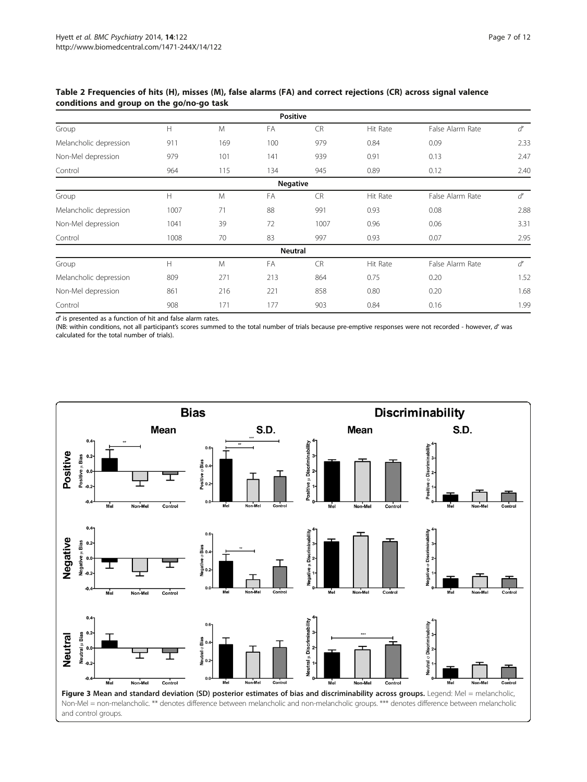| <b>Positive</b>        |      |     |                 |           |          |                  |              |  |  |  |  |
|------------------------|------|-----|-----------------|-----------|----------|------------------|--------------|--|--|--|--|
| Group                  | Н    | M   | FA              | <b>CR</b> | Hit Rate | False Alarm Rate | $d^{\prime}$ |  |  |  |  |
| Melancholic depression | 911  | 169 | 100             | 979       | 0.84     | 0.09             | 2.33         |  |  |  |  |
| Non-Mel depression     | 979  | 101 | 141             | 939       | 0.91     | 0.13             | 2.47         |  |  |  |  |
| Control                | 964  | 115 | 134             | 945       | 0.89     | 0.12             | 2.40         |  |  |  |  |
|                        |      |     | <b>Negative</b> |           |          |                  |              |  |  |  |  |
| Group                  | H    | M   | FA              | <b>CR</b> | Hit Rate | False Alarm Rate | ď            |  |  |  |  |
| Melancholic depression | 1007 | 71  | 88              | 991       | 0.93     | 0.08             | 2.88         |  |  |  |  |
| Non-Mel depression     | 1041 | 39  | 72              | 1007      | 0.96     | 0.06             | 3.31         |  |  |  |  |
| Control                | 1008 | 70  | 83              | 997       | 0.93     | 0.07             | 2.95         |  |  |  |  |
|                        |      |     | <b>Neutral</b>  |           |          |                  |              |  |  |  |  |
| Group                  | H    | M   | FA              | <b>CR</b> | Hit Rate | False Alarm Rate | $d^{\prime}$ |  |  |  |  |
| Melancholic depression | 809  | 271 | 213             | 864       | 0.75     | 0.20             | 1.52         |  |  |  |  |
| Non-Mel depression     | 861  | 216 | 221             | 858       | 0.80     | 0.20             | 1.68         |  |  |  |  |
| Control                | 908  | 171 | 177             | 903       | 0.84     | 0.16             | 1.99         |  |  |  |  |

## <span id="page-6-0"></span>Table 2 Frequencies of hits (H), misses (M), false alarms (FA) and correct rejections (CR) across signal valence conditions and group on the go/no-go task

 $d'$  is presented as a function of hit and false alarm rates.

(NB: within conditions, not all participant's scores summed to the total number of trials because pre-emptive responses were not recorded - however, d′ was calculated for the total number of trials).

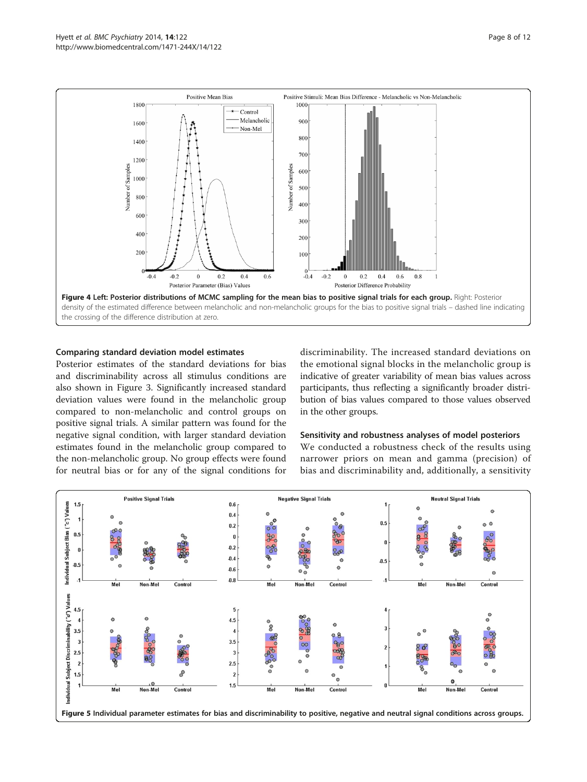<span id="page-7-0"></span>

#### Comparing standard deviation model estimates

Posterior estimates of the standard deviations for bias and discriminability across all stimulus conditions are also shown in Figure [3](#page-6-0). Significantly increased standard deviation values were found in the melancholic group compared to non-melancholic and control groups on positive signal trials. A similar pattern was found for the negative signal condition, with larger standard deviation estimates found in the melancholic group compared to the non-melancholic group. No group effects were found for neutral bias or for any of the signal conditions for discriminability. The increased standard deviations on the emotional signal blocks in the melancholic group is indicative of greater variability of mean bias values across participants, thus reflecting a significantly broader distribution of bias values compared to those values observed in the other groups.

#### Sensitivity and robustness analyses of model posteriors

We conducted a robustness check of the results using narrower priors on mean and gamma (precision) of bias and discriminability and, additionally, a sensitivity

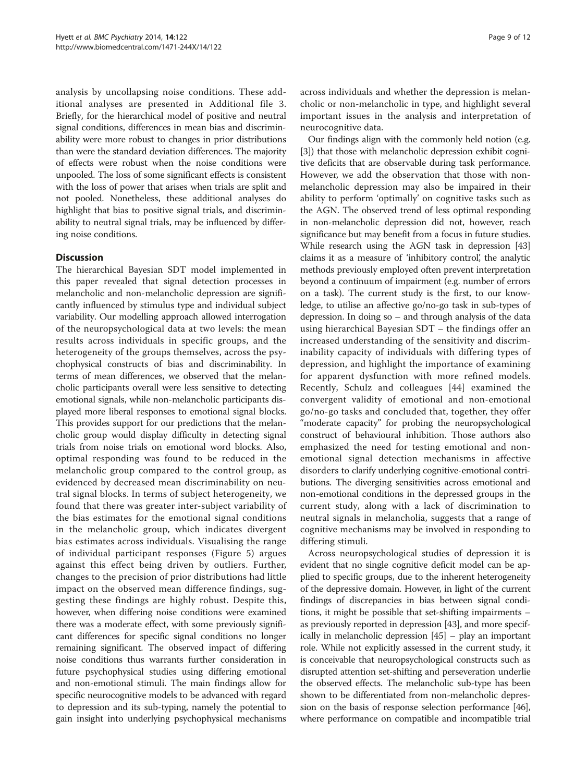analysis by uncollapsing noise conditions. These additional analyses are presented in Additional file [3](#page-10-0). Briefly, for the hierarchical model of positive and neutral signal conditions, differences in mean bias and discriminability were more robust to changes in prior distributions than were the standard deviation differences. The majority of effects were robust when the noise conditions were unpooled. The loss of some significant effects is consistent with the loss of power that arises when trials are split and not pooled. Nonetheless, these additional analyses do highlight that bias to positive signal trials, and discriminability to neutral signal trials, may be influenced by differing noise conditions.

# **Discussion**

The hierarchical Bayesian SDT model implemented in this paper revealed that signal detection processes in melancholic and non-melancholic depression are significantly influenced by stimulus type and individual subject variability. Our modelling approach allowed interrogation of the neuropsychological data at two levels: the mean results across individuals in specific groups, and the heterogeneity of the groups themselves, across the psychophysical constructs of bias and discriminability. In terms of mean differences, we observed that the melancholic participants overall were less sensitive to detecting emotional signals, while non-melancholic participants displayed more liberal responses to emotional signal blocks. This provides support for our predictions that the melancholic group would display difficulty in detecting signal trials from noise trials on emotional word blocks. Also, optimal responding was found to be reduced in the melancholic group compared to the control group, as evidenced by decreased mean discriminability on neutral signal blocks. In terms of subject heterogeneity, we found that there was greater inter-subject variability of the bias estimates for the emotional signal conditions in the melancholic group, which indicates divergent bias estimates across individuals. Visualising the range of individual participant responses (Figure [5\)](#page-7-0) argues against this effect being driven by outliers. Further, changes to the precision of prior distributions had little impact on the observed mean difference findings, suggesting these findings are highly robust. Despite this, however, when differing noise conditions were examined there was a moderate effect, with some previously significant differences for specific signal conditions no longer remaining significant. The observed impact of differing noise conditions thus warrants further consideration in future psychophysical studies using differing emotional and non-emotional stimuli. The main findings allow for specific neurocognitive models to be advanced with regard to depression and its sub-typing, namely the potential to gain insight into underlying psychophysical mechanisms

across individuals and whether the depression is melancholic or non-melancholic in type, and highlight several important issues in the analysis and interpretation of neurocognitive data.

Our findings align with the commonly held notion (e.g. [[3\]](#page-10-0)) that those with melancholic depression exhibit cognitive deficits that are observable during task performance. However, we add the observation that those with nonmelancholic depression may also be impaired in their ability to perform 'optimally' on cognitive tasks such as the AGN. The observed trend of less optimal responding in non-melancholic depression did not, however, reach significance but may benefit from a focus in future studies. While research using the AGN task in depression [[43](#page-11-0)] claims it as a measure of 'inhibitory control', the analytic methods previously employed often prevent interpretation beyond a continuum of impairment (e.g. number of errors on a task). The current study is the first, to our knowledge, to utilise an affective go/no-go task in sub-types of depression. In doing so – and through analysis of the data using hierarchical Bayesian SDT – the findings offer an increased understanding of the sensitivity and discriminability capacity of individuals with differing types of depression, and highlight the importance of examining for apparent dysfunction with more refined models. Recently, Schulz and colleagues [[44\]](#page-11-0) examined the convergent validity of emotional and non-emotional go/no-go tasks and concluded that, together, they offer "moderate capacity" for probing the neuropsychological construct of behavioural inhibition. Those authors also emphasized the need for testing emotional and nonemotional signal detection mechanisms in affective disorders to clarify underlying cognitive-emotional contributions. The diverging sensitivities across emotional and non-emotional conditions in the depressed groups in the current study, along with a lack of discrimination to neutral signals in melancholia, suggests that a range of cognitive mechanisms may be involved in responding to differing stimuli.

Across neuropsychological studies of depression it is evident that no single cognitive deficit model can be applied to specific groups, due to the inherent heterogeneity of the depressive domain. However, in light of the current findings of discrepancies in bias between signal conditions, it might be possible that set-shifting impairments – as previously reported in depression [\[43\]](#page-11-0), and more specifically in melancholic depression [\[45](#page-11-0)] – play an important role. While not explicitly assessed in the current study, it is conceivable that neuropsychological constructs such as disrupted attention set-shifting and perseveration underlie the observed effects. The melancholic sub-type has been shown to be differentiated from non-melancholic depression on the basis of response selection performance [[46](#page-11-0)], where performance on compatible and incompatible trial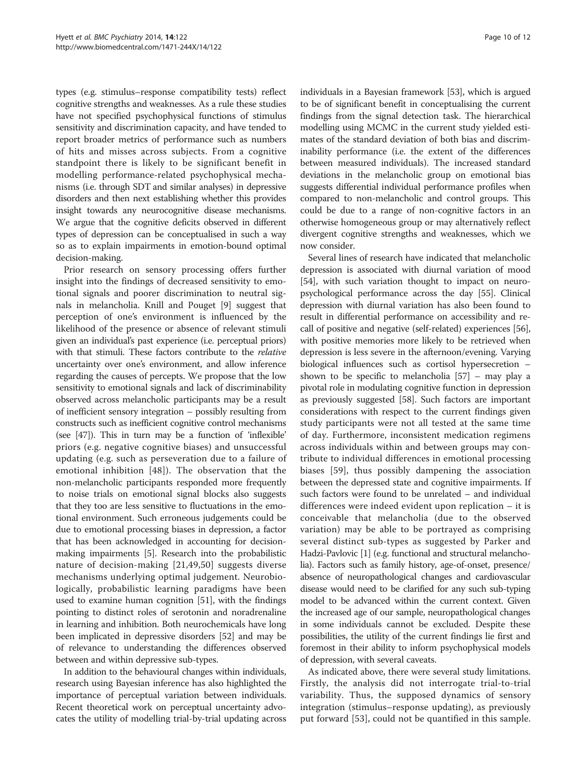types (e.g. stimulus–response compatibility tests) reflect cognitive strengths and weaknesses. As a rule these studies have not specified psychophysical functions of stimulus sensitivity and discrimination capacity, and have tended to report broader metrics of performance such as numbers of hits and misses across subjects. From a cognitive standpoint there is likely to be significant benefit in modelling performance-related psychophysical mechanisms (i.e. through SDT and similar analyses) in depressive disorders and then next establishing whether this provides insight towards any neurocognitive disease mechanisms. We argue that the cognitive deficits observed in different types of depression can be conceptualised in such a way so as to explain impairments in emotion-bound optimal decision-making.

Prior research on sensory processing offers further insight into the findings of decreased sensitivity to emotional signals and poorer discrimination to neutral signals in melancholia. Knill and Pouget [[9\]](#page-10-0) suggest that perception of one's environment is influenced by the likelihood of the presence or absence of relevant stimuli given an individual's past experience (i.e. perceptual priors) with that stimuli. These factors contribute to the relative uncertainty over one's environment, and allow inference regarding the causes of percepts. We propose that the low sensitivity to emotional signals and lack of discriminability observed across melancholic participants may be a result of inefficient sensory integration – possibly resulting from constructs such as inefficient cognitive control mechanisms (see [\[47\]](#page-11-0)). This in turn may be a function of 'inflexible' priors (e.g. negative cognitive biases) and unsuccessful updating (e.g. such as perseveration due to a failure of emotional inhibition [\[48\]](#page-11-0)). The observation that the non-melancholic participants responded more frequently to noise trials on emotional signal blocks also suggests that they too are less sensitive to fluctuations in the emotional environment. Such erroneous judgements could be due to emotional processing biases in depression, a factor that has been acknowledged in accounting for decisionmaking impairments [\[5](#page-10-0)]. Research into the probabilistic nature of decision-making [[21,49](#page-11-0),[50\]](#page-11-0) suggests diverse mechanisms underlying optimal judgement. Neurobiologically, probabilistic learning paradigms have been used to examine human cognition [\[51\]](#page-11-0), with the findings pointing to distinct roles of serotonin and noradrenaline in learning and inhibition. Both neurochemicals have long been implicated in depressive disorders [\[52\]](#page-11-0) and may be of relevance to understanding the differences observed between and within depressive sub-types.

In addition to the behavioural changes within individuals, research using Bayesian inference has also highlighted the importance of perceptual variation between individuals. Recent theoretical work on perceptual uncertainty advocates the utility of modelling trial-by-trial updating across individuals in a Bayesian framework [[53](#page-11-0)], which is argued to be of significant benefit in conceptualising the current findings from the signal detection task. The hierarchical modelling using MCMC in the current study yielded estimates of the standard deviation of both bias and discriminability performance (i.e. the extent of the differences between measured individuals). The increased standard deviations in the melancholic group on emotional bias suggests differential individual performance profiles when compared to non-melancholic and control groups. This could be due to a range of non-cognitive factors in an otherwise homogeneous group or may alternatively reflect divergent cognitive strengths and weaknesses, which we now consider.

Several lines of research have indicated that melancholic depression is associated with diurnal variation of mood [[54](#page-11-0)], with such variation thought to impact on neuropsychological performance across the day [\[55\]](#page-11-0). Clinical depression with diurnal variation has also been found to result in differential performance on accessibility and recall of positive and negative (self-related) experiences [[56](#page-11-0)], with positive memories more likely to be retrieved when depression is less severe in the afternoon/evening. Varying biological influences such as cortisol hypersecretion – shown to be specific to melancholia [\[57](#page-11-0)] – may play a pivotal role in modulating cognitive function in depression as previously suggested [\[58\]](#page-11-0). Such factors are important considerations with respect to the current findings given study participants were not all tested at the same time of day. Furthermore, inconsistent medication regimens across individuals within and between groups may contribute to individual differences in emotional processing biases [\[59](#page-11-0)], thus possibly dampening the association between the depressed state and cognitive impairments. If such factors were found to be unrelated – and individual differences were indeed evident upon replication – it is conceivable that melancholia (due to the observed variation) may be able to be portrayed as comprising several distinct sub-types as suggested by Parker and Hadzi-Pavlovic [[1](#page-10-0)] (e.g. functional and structural melancholia). Factors such as family history, age-of-onset, presence/ absence of neuropathological changes and cardiovascular disease would need to be clarified for any such sub-typing model to be advanced within the current context. Given the increased age of our sample, neuropathological changes in some individuals cannot be excluded. Despite these possibilities, the utility of the current findings lie first and foremost in their ability to inform psychophysical models of depression, with several caveats.

As indicated above, there were several study limitations. Firstly, the analysis did not interrogate trial-to-trial variability. Thus, the supposed dynamics of sensory integration (stimulus–response updating), as previously put forward [[53](#page-11-0)], could not be quantified in this sample.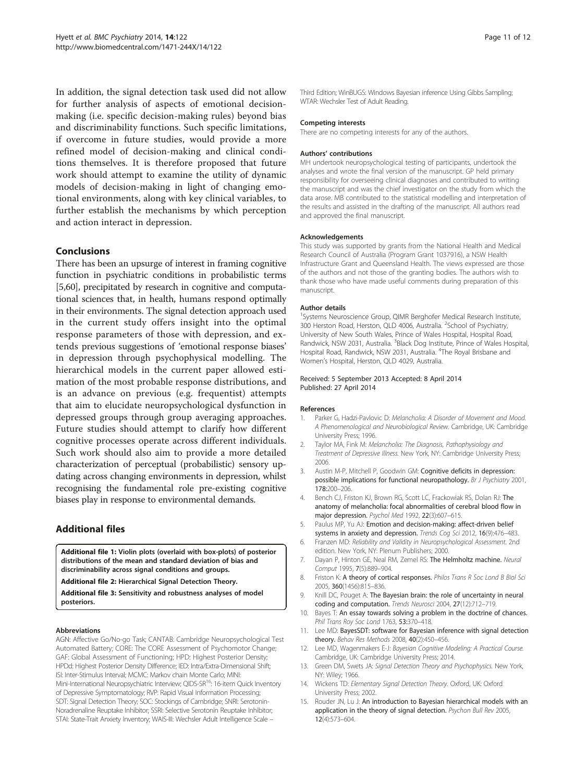<span id="page-10-0"></span>In addition, the signal detection task used did not allow for further analysis of aspects of emotional decisionmaking (i.e. specific decision-making rules) beyond bias and discriminability functions. Such specific limitations, if overcome in future studies, would provide a more refined model of decision-making and clinical conditions themselves. It is therefore proposed that future work should attempt to examine the utility of dynamic models of decision-making in light of changing emotional environments, along with key clinical variables, to further establish the mechanisms by which perception and action interact in depression.

# Conclusions

There has been an upsurge of interest in framing cognitive function in psychiatric conditions in probabilistic terms [5,[60](#page-11-0)], precipitated by research in cognitive and computational sciences that, in health, humans respond optimally in their environments. The signal detection approach used in the current study offers insight into the optimal response parameters of those with depression, and extends previous suggestions of 'emotional response biases' in depression through psychophysical modelling. The hierarchical models in the current paper allowed estimation of the most probable response distributions, and is an advance on previous (e.g. frequentist) attempts that aim to elucidate neuropsychological dysfunction in depressed groups through group averaging approaches. Future studies should attempt to clarify how different cognitive processes operate across different individuals. Such work should also aim to provide a more detailed characterization of perceptual (probabilistic) sensory updating across changing environments in depression, whilst recognising the fundamental role pre-existing cognitive biases play in response to environmental demands.

# Additional files

[Additional file 1:](http://www.biomedcentral.com/content/supplementary/1471-244X-14-122-S1.pdf) Violin plots (overlaid with box-plots) of posterior distributions of the mean and standard deviation of bias and discriminability across signal conditions and groups.

[Additional file 2:](http://www.biomedcentral.com/content/supplementary/1471-244X-14-122-S2.doc) Hierarchical Signal Detection Theory.

[Additional file 3:](http://www.biomedcentral.com/content/supplementary/1471-244X-14-122-S3.doc) Sensitivity and robustness analyses of model posteriors.

#### Abbreviations

AGN: Affective Go/No-go Task; CANTAB: Cambridge Neuropsychological Test Automated Battery; CORE: The CORE Assessment of Psychomotor Change; GAF: Global Assessment of Functioning; HPD: Highest Posterior Density; HPDd: Highest Posterior Density Difference; IED: Intra/Extra-Dimensional Shift; ISI: Inter-Stimulus Interval; MCMC: Markov chain Monte Carlo; MINI: Mini-International Neuropsychiatric Interview; QIDS-SR<sup>16</sup>: 16-item Quick Inventory of Depressive Symptomatology; RVP: Rapid Visual Information Processing; SDT: Signal Detection Theory; SOC: Stockings of Cambridge; SNRI: Serotonin-Noradrenaline Reuptake Inhibitor; SSRI: Selective Serotonin Reuptake Inhibitor; STAI: State-Trait Anxiety Inventory; WAIS-III: Wechsler Adult Intelligence Scale –

Third Edition; WinBUGS: Windows Bayesian inference Using Gibbs Sampling; WTAR: Wechsler Test of Adult Reading.

#### Competing interests

There are no competing interests for any of the authors.

#### Authors' contributions

MH undertook neuropsychological testing of participants, undertook the analyses and wrote the final version of the manuscript. GP held primary responsibility for overseeing clinical diagnoses and contributed to writing the manuscript and was the chief investigator on the study from which the data arose. MB contributed to the statistical modelling and interpretation of the results and assisted in the drafting of the manuscript. All authors read and approved the final manuscript.

#### Acknowledgements

This study was supported by grants from the National Health and Medical Research Council of Australia (Program Grant 1037916), a NSW Health Infrastructure Grant and Queensland Health. The views expressed are those of the authors and not those of the granting bodies. The authors wish to thank those who have made useful comments during preparation of this manuscript.

#### Author details

<sup>1</sup>Systems Neuroscience Group, QIMR Berghofer Medical Research Institute 300 Herston Road, Herston, QLD 4006, Australia. <sup>2</sup>School of Psychiatry University of New South Wales, Prince of Wales Hospital, Hospital Road, Randwick, NSW 2031, Australia. <sup>3</sup>Black Dog Institute, Prince of Wales Hospital, Hospital Road, Randwick, NSW 2031, Australia. <sup>4</sup>The Royal Brisbane and Women's Hospital, Herston, QLD 4029, Australia.

#### Received: 5 September 2013 Accepted: 8 April 2014 Published: 27 April 2014

#### References

- 1. Parker G, Hadzi-Pavlovic D: Melancholia: A Disorder of Movement and Mood. A Phenomenological and Neurobiological Review. Cambridge, UK: Cambridge University Press; 1996.
- 2. Taylor MA, Fink M: Melancholia: The Diagnosis, Pathophysiology and Treatment of Depressive Illness. New York, NY: Cambridge University Press; 2006.
- 3. Austin M-P, Mitchell P, Goodwin GM: Cognitive deficits in depression: possible implications for functional neuropathology. Br J Psychiatry 2001, 178:200–206.
- 4. Bench CJ, Friston KJ, Brown RG, Scott LC, Frackowiak RS, Dolan RJ: The anatomy of melancholia: focal abnormalities of cerebral blood flow in major depression. Psychol Med 1992, 22(3):607-615.
- 5. Paulus MP, Yu AJ: Emotion and decision-making: affect-driven belief systems in anxiety and depression. Trends Cog Sci 2012, 16(9):476–483.
- 6. Franzen MD: Reliability and Validity in Neuropsychological Assessment. 2nd edition. New York, NY: Plenum Publishers; 2000.
- 7. Dayan P, Hinton GE, Neal RM, Zemel RS: The Helmholtz machine. Neural Comput 1995, 7(5):889–904.
- 8. Friston K: A theory of cortical responses. Philos Trans R Soc Lond B Biol Sci 2005, 360(1456):815–836.
- 9. Knill DC, Pouget A: The Bayesian brain: the role of uncertainty in neural coding and computation. Trends Neurosci 2004, 27(12):712–719.
- 10. Bayes T: An essay towards solving a problem in the doctrine of chances. Phil Trans Roy Soc Lond 1763, 53:370-418.
- 11. Lee MD: BayesSDT: software for Bayesian inference with signal detection theory. Behav Res Methods 2008, 40(2):450–456.
- 12. Lee MD, Wagenmakers E-J: Bayesian Cognitive Modeling: A Practical Course. Cambridge, UK: Cambridge University Press; 2014.
- 13. Green DM, Swets JA: Signal Detection Theory and Psychophysics. New York, NY: Wiley; 1966.
- 14. Wickens TD: Elementary Signal Detection Theory. Oxford, UK: Oxford University Press; 2002.
- 15. Rouder JN, Lu J: An introduction to Bayesian hierarchical models with an application in the theory of signal detection. Psychon Bull Rev 2005, 12(4):573–604.